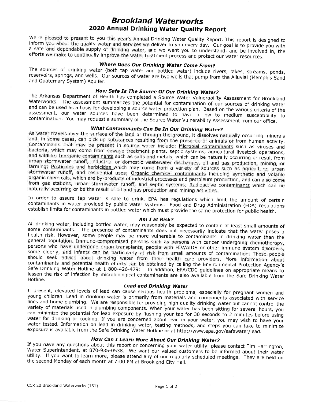# Brookland Waterworks 2020 Annual Drinking Water Quality Report

We're pleased to present to you this year's Annual Drinking Water Quality Report. This report is designed to inform you about the quality water and services we deliver to you every day. Our goal is to provide you with a sa

**Where Does Our Drinking Water Come From?**<br>The sources of drinking water (both tap water and bottled water) include rivers, lakes, streams, ponds, reservoirs, springs, and wells. Our sources of water are two wells that pum

**How Safe Is The Source Of Our Drinking Water?**<br>The Arkansas Department of Health has completed a Source Water Vulnerability Assessment for Brookland<br>Waterworks. The assessment summarizes the potential for contamination of

## What Contaminants Can Be In Our Drinking Water?

As water travels over the surface of the land or through the ground, it dissolves naturally occurring minerals and, in some cases, can pick up substances resulting from the presence of animals or from human activity. Contaminants that may be present in source water include: Microbial contaminants such as viruses and bacteria, which may come from sewage treatment plants, septic systems, agricultural livestock operations, and wildlife; Inorganic contaminants such as salts and metals, which can be naturally occurring or result from<br>urban stormwater runoff, industrial or domestic wastewater discharges, oil and gas production, mining, or farming; <u>Pesticides and herbicides</u> which may come from a variety of sources such as agriculture, urban stormwater runoff, and residential uses; Organic chemical contaminants including synthetic and volatile organic chemicals, which are by-products of industrial processes and petroleum production, and can also come from gas stations, urban stormwater runoff, and septic systems; Radioactive contaminants which can be naturally occurring or be the result of oil and gas production and mining activities.

In order to assure tap water is safe to drink, EPA has regulations which limit the amount of certain contaminants in water provided by public water systems. Food and Drug Administration (FDA) regulations establish limits f

### Am I at Risk?

All drinking water, including bottled water, may reasonably be expected to contain at least small amounts of some contaminants. The presence of contaminants does not necessarily indicate that the water poses a<br>health risk. However, some people may be more vulnerable to contaminants in drinking water than the general population. Immuno-compromised persons such as persons with cancer undergoing chemotherapy, persons who have undergone organ transplants, people with HIV/AIDS or other immune system disorders, some elderly, and infants can be particularly at risk from small amounts of contamination. These people should seek advice about drinking water from their health care providers. More information about contaminants and pote Safe Drinking Water Hotline at 1-800-426-4791. In addition, EPA/CDC guidelines on appropriate means to lessen the risk of infection by microbiological contaminants are also available from the Safe Drinking Water Hotline. lessen the risk of infection by microbiological contaminants are also available from the Safe Drinking Water

**Lead and Drinking Water**<br>If present, elevated levels of lead can cause serious health problems, especially for pregnant women and<br>young children. Lead in drinking water is primarily from materials and components associate water for drinking or cooking. If you are concerned about lead in your water, you may wish to have your water tested. Information on lead in drinking water, testing methods, and steps you can take to minimize exposure is available from the Safe Drinking Water Hotline or at http://www.epa.gov/safewater/lead.

**How Can I Learn More About Our Drinking Water?**<br>If you have any questions about this report or concerning your water utility, please contact Tim Harrington,<br>Water Superintendent, at 870-935-0538. We want our valued custom